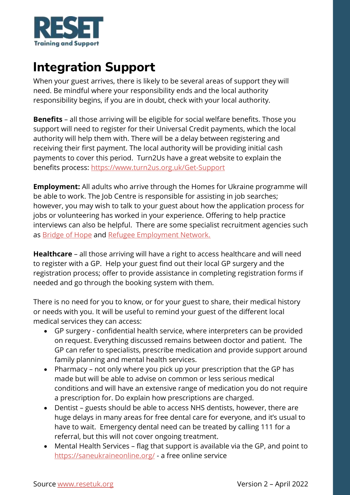

## **Integration Support**

When your guest arrives, there is likely to be several areas of support they will need. Be mindful where your responsibility ends and the local authority responsibility begins, if you are in doubt, check with your local authority.

**Benefits** – all those arriving will be eligible for social welfare benefits. Those you support will need to register for their Universal Credit payments, which the local authority will help them with. There will be a delay between registering and receiving their first payment. The local authority will be providing initial cash payments to cover this period. Turn2Us have a great website to explain the benefits process:<https://www.turn2us.org.uk/Get-Support>

**Employment:** All adults who arrive through the Homes for Ukraine programme will be able to work. The Job Centre is responsible for assisting in job searches; however, you may wish to talk to your guest about how the application process for jobs or volunteering has worked in your experience. Offering to help practice interviews can also be helpful. There are some specialist recruitment agencies such as [Bridge of Hope](https://www.bridgeofhope.careers/) and [Refugee Employment Network.](https://refugeeemploymentnetwork.co.uk/job-opportunities)

**Healthcare** – all those arriving will have a right to access healthcare and will need to register with a GP. Help your guest find out their local GP surgery and the registration process; offer to provide assistance in completing registration forms if needed and go through the booking system with them.

There is no need for you to know, or for your guest to share, their medical history or needs with you. It will be useful to remind your guest of the different local medical services they can access:

- GP surgery confidential health service, where interpreters can be provided on request. Everything discussed remains between doctor and patient. The GP can refer to specialists, prescribe medication and provide support around family planning and mental health services.
- Pharmacy not only where you pick up your prescription that the GP has made but will be able to advise on common or less serious medical conditions and will have an extensive range of medication you do not require a prescription for. Do explain how prescriptions are charged.
- Dentist guests should be able to access NHS dentists, however, there are huge delays in many areas for free dental care for everyone, and it's usual to have to wait. Emergency dental need can be treated by calling 111 for a referral, but this will not cover ongoing treatment.
- Mental Health Services flag that support is available via the GP, and point to <https://saneukraineonline.org/> - a free online service